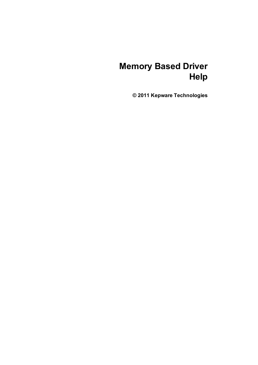# **Memory Based Driver Help**

**© 2011 Kepware Technologies**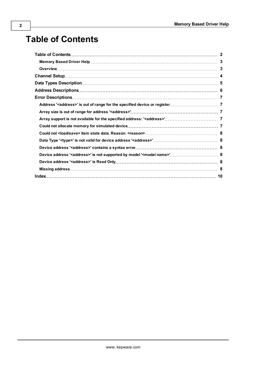# <span id="page-1-0"></span>**Table of Contents**

| Device address ' <address>' is not supported by model '<model name="">' 8</model></address> |  |
|---------------------------------------------------------------------------------------------|--|
|                                                                                             |  |
|                                                                                             |  |
|                                                                                             |  |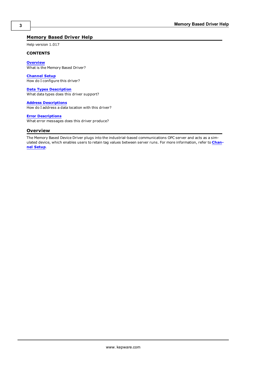### <span id="page-2-0"></span>**Memory Based Driver Help**

Help version 1.017

#### **CONTENTS**

**[Overview](#page-2-1)** What is the Memory Based Driver?

**[Channel](#page-3-0) [Setup](#page-3-0)** How do I configure this driver?

**[Data](#page-4-0) [Types](#page-4-0) [Description](#page-4-0)** What data types does this driver support?

**[Address](#page-5-0) [Descriptions](#page-5-0)** How do I address a data location with this driver?

#### **[Error](#page-6-0) [Descriptions](#page-6-0)**

<span id="page-2-1"></span>What error messages does this driver produce?

### **Overview**

The Memory Based Device Driver plugs into the industrial-based communications OPC server and acts as a simulated device, which enables users to retain tag values between server runs. For more information, refer to **[Chan](#page-3-0)[nel](#page-3-0) [Setup](#page-3-0)**.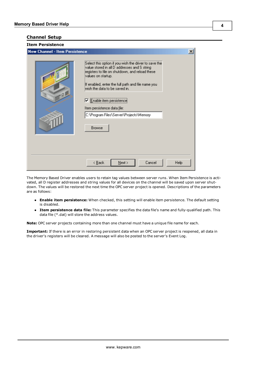#### <span id="page-3-0"></span>**Channel Setup**

| <b>New Channel - Item Persistence</b>                                                                                                                                                                                                                                                                                                                                                      | $\boldsymbol{\mathsf{x}}$ |
|--------------------------------------------------------------------------------------------------------------------------------------------------------------------------------------------------------------------------------------------------------------------------------------------------------------------------------------------------------------------------------------------|---------------------------|
| Select this option if you wish the driver to save the<br>value stored in all D addresses and S string<br>registers to file on shutdown, and reload these<br>values on startup.<br>If enabled, enter the full path and file name you<br>wish the data to be saved in.<br>Enable item persistence<br>Item persistence data file:<br>C:\Program Files\Server\Projects\Memory<br><b>Browse</b> |                           |
| Cancel<br>$\leq$ $\underline{B}$ ack<br>$N$ ext >                                                                                                                                                                                                                                                                                                                                          | Help                      |
|                                                                                                                                                                                                                                                                                                                                                                                            |                           |

The Memory Based Driver enables users to retain tag values between server runs. When Item Persistence is activated, all D register addresses and string values for all devices on the channel will be saved upon server shutdown. The values will be restored the next time the OPC server project is opened. Descriptions of the parameters are as follows:

- **Enable item persistence:** When checked, this setting will enable item persistence. The default setting is disabled.
- **Item persistence data file:** This parameter specifies the data file's name and fully-qualified path. This data file (\*.dat) will store the address values.

**Note:** OPC server projects containing more than one channel must have a unique file name for each.

**Important:** If there is an error in restoring persistent data when an OPC server project is reopened, all data in the driver's registers will be cleared. A message will also be posted to the server's Event Log.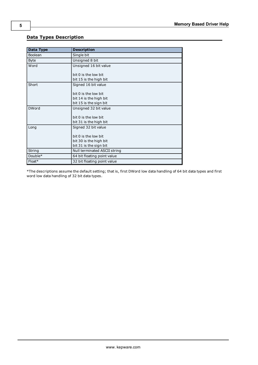| Data Type    | <b>Description</b>           |
|--------------|------------------------------|
| Boolean      | Single bit                   |
| <b>Byte</b>  | Unsigned 8 bit               |
| Word         | Unsigned 16 bit value        |
|              | bit 0 is the low bit         |
|              | bit 15 is the high bit       |
| Short        | Signed 16 bit value          |
|              | bit 0 is the low bit         |
|              | bit 14 is the high bit       |
|              | bit 15 is the sign bit       |
| <b>DWord</b> | Unsigned 32 bit value        |
|              | bit 0 is the low bit         |
|              | bit 31 is the high bit       |
| Long         | Signed 32 bit value          |
|              | bit 0 is the low bit         |
|              | bit 30 is the high bit       |
|              | bit 31 is the sign bit       |
| String       | Null terminated ASCII string |
| Double*      | 64 bit floating point value  |
| $Float*$     | 32 bit floating point value  |

## <span id="page-4-0"></span>**Data Types Description**

\*The descriptions assume the default setting; that is, first DWord low data handling of 64 bit data types and first word low data handling of 32 bit data types.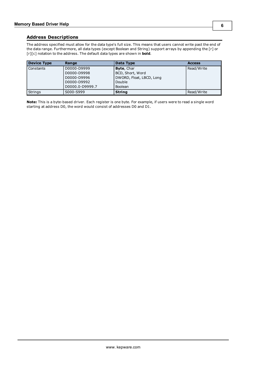<span id="page-5-0"></span>The address specified must allow for the data type's full size. This means that users cannot write past the end of the data range. Furthermore, all data types (except Boolean and String) support arrays by appending the [r] or [r][c] notation to the address. The default data types are shown in **bold**.

| <b>Device Type</b> | Range           | Data Type                | <b>Access</b> |
|--------------------|-----------------|--------------------------|---------------|
| l Constants        | D0000-D9999     | <b>Byte, Char</b>        | Read/Write    |
|                    | D0000-D9998     | BCD, Short, Word         |               |
|                    | D0000-D9996     | DWORD, Float, LBCD, Long |               |
|                    | D0000-D9992     | Double                   |               |
|                    | D0000.0-D9999.7 | <b>Boolean</b>           |               |
| <b>Strings</b>     | S000-S999       | <b>String</b>            | Read/Write    |

**Note:** This is a byte-based driver. Each register is one byte. For example, if users were to read a single word starting at address D0, the word would consist of addresses D0 and D1.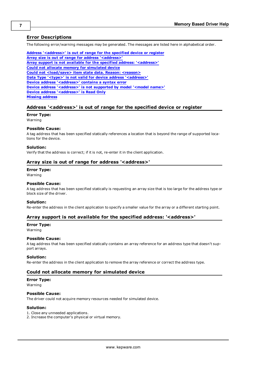#### <span id="page-6-0"></span>**Error Descriptions**

The following error/warning messages may be generated. The messages are listed here in alphabetical order.

**[Address](#page-6-1) ['<address>'](#page-6-1) [is](#page-6-1) [out](#page-6-1) [of](#page-6-1) [range](#page-6-1) [for](#page-6-1) [the](#page-6-1) [specified](#page-6-1) [device](#page-6-1) [or](#page-6-1) [register](#page-6-1) [Array](#page-6-2) [size](#page-6-2) [is](#page-6-2) [out](#page-6-2) [of](#page-6-2) [range](#page-6-2) [for](#page-6-2) [address](#page-6-2) ['<address>'](#page-6-2) [Array](#page-6-3) [support](#page-6-3) [is](#page-6-3) [not](#page-6-3) [available](#page-6-3) [for](#page-6-3) [the](#page-6-3) [specified](#page-6-3) [address:](#page-6-3) ['<address>'](#page-6-3) [Could](#page-6-4) [not](#page-6-4) [allocate](#page-6-4) [memory](#page-6-4) [for](#page-6-4) [simulated](#page-6-4) [device](#page-6-4) [Could](#page-7-0) [not](#page-7-0) [<load/save>](#page-7-0) [item](#page-7-0) [state](#page-7-0) [data.](#page-7-0) [Reason:](#page-7-0) [<reason>](#page-7-0) [Data](#page-7-1) [Type](#page-7-1) ['<type>'](#page-7-1) [is](#page-7-1) [not](#page-7-1) [valid](#page-7-1) [for](#page-7-1) [device](#page-7-1) [address](#page-7-1) ['<address>'](#page-7-1) [Device](#page-7-2) [address](#page-7-2) ['<address>'](#page-7-2) [contains](#page-7-2) [a](#page-7-2) [syntax](#page-7-2) [error](#page-7-2) [Device](#page-7-3) [address](#page-7-3) ['<address>'](#page-7-3) [is](#page-7-3) [not](#page-7-3) [supported](#page-7-3) [by](#page-7-3) [model](#page-7-3) ['<model](#page-7-3) [name>'](#page-7-3) [Device](#page-7-4) [address](#page-7-4) ['<address>'](#page-7-4) [is](#page-7-4) [Read](#page-7-4) [Only](#page-7-4) [Missing](#page-7-5) [address](#page-7-5)**

#### <span id="page-6-1"></span>Address '<address>' is out of range for the specified device or register

## **Error Type:**

Warning

#### **Possible Cause:**

A tag address that has been specified statically references a location that is beyond the range of supported locations for the device.

#### **Solution:**

<span id="page-6-2"></span>Verify that the address is correct; if it is not, re-enter it in the client application.

#### **Array size is out of range for address '<address>'**

#### **Error Type:**

Warning

#### **Possible Cause:**

A tag address that has been specified statically is requesting an array size that is too large for the address type or block size of the driver.

#### **Solution:**

<span id="page-6-3"></span>Re-enter the address in the client application to specify a smaller value for the array or a different starting point.

#### **Array support is not available for the specified address: '<address>'**

#### **Error Type:**

Warning

#### **Possible Cause:**

A tag address that has been specified statically contains an array reference for an address type that doesn't support arrays.

#### **Solution:**

<span id="page-6-4"></span>Re-enter the address in the client application to remove the array reference or correct the address type.

#### **Could not allocate memory for simulated device**

### **Error Type:**

Warning

#### **Possible Cause:**

The driver could not acquire memory resources needed for simulated device.

#### **Solution:**

- 1. Close any unneeded applications.
- 2. Increase the computer's physical or virtual memory.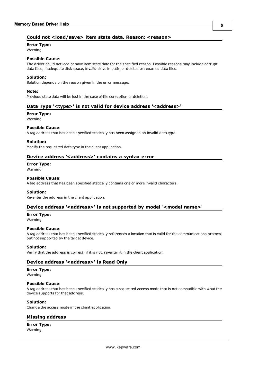### <span id="page-7-0"></span>**Could not <load/save> item state data. Reason: <reason>**

### **Error Type:**

Warning

#### **Possible Cause:**

The driver could not load or save item state data for the specified reason. Possible reasons may include corrupt data files, inadequate disk space, invalid drive in path, or deleted or renamed data files.

#### **Solution:**

Solution depends on the reason given in the error message.

#### **Note:**

<span id="page-7-1"></span>Previous state data will be lost in the case of file corruption or deletion.

#### Data Type '<type>' is not valid for device address '<address>'

#### **Error Type:**

Warning

#### **Possible Cause:**

A tag address that has been specified statically has been assigned an invalid data type.

#### **Solution:**

<span id="page-7-2"></span>Modify the requested data type in the client application.

#### Device address '<address>' contains a syntax error

## **Error Type:**

Warning

#### **Possible Cause:**

A tag address that has been specified statically contains one or more invalid characters.

#### **Solution:**

<span id="page-7-3"></span>Re-enter the address in the client application.

### Device address '<address>' is not supported by model '<model name>'

#### **Error Type:**

Warning

#### **Possible Cause:**

A tag address that has been specified statically references a location that is valid for the communications protocol but not supported by the target device.

#### **Solution:**

<span id="page-7-4"></span>Verify that the address is correct; if it is not, re-enter it in the client application.

#### **Device address '<address>' is Read Only**

#### **Error Type:**

Warning

#### **Possible Cause:**

A tag address that has been specified statically has a requested access mode that is not compatible with what the device supports for that address.

#### **Solution:**

<span id="page-7-5"></span>Change the access mode in the client application.

### **Missing address**

# **Error Type:**

Warning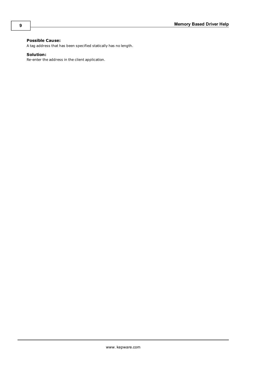### **Possible Cause:**

A tag address that has been specified statically has no length.

### **Solution:**

Re-enter the address in the client application.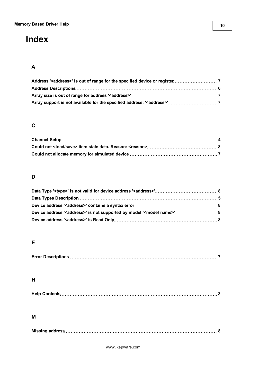# <span id="page-9-0"></span>**Index**

# **A**

# **C**

# **D**

# **E**

# **H**

### **M**

|--|--|--|